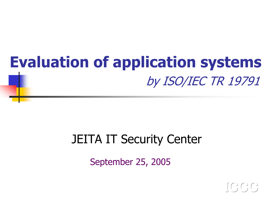# Evaluation of application systems by ISO/IEC TR 19791

#### JEITA IT Security Center

September 25, 2005

 $I\subset C$ ,  $C$ ,  $C$ ,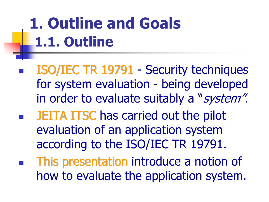# 1. Outline and Goals 1.1. Outline

- ISO/IEC TR 19791 Security techniques for system evaluation - being developed in order to evaluate suitably a "system".
- $\mathbb{R}^3$ **BEITA ITSC has carried out the pilot** evaluation of an application system according to the ISO/IEC TR 19791.
- $\mathbb{R}^n$ This presentation introduce a notion of how to evaluate the application system.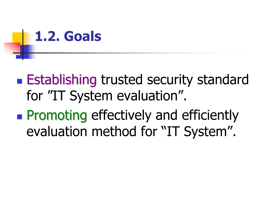

- **Establishing trusted security standard** for "IT System evaluation".
- $\mathbb{R}^2$ **Promoting effectively and efficiently** evaluation method for "IT System".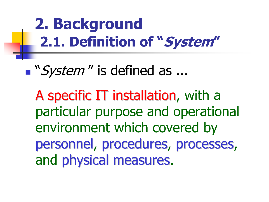# 2. Background 2.1. Definition of "System"

■ "System" is defined as ...

A specific IT installation, with a particular purpose and operational environment which covered by personnel, procedures, processes, and physical measures.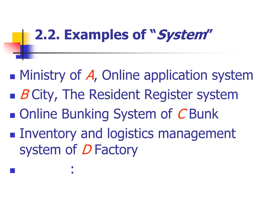# 2.2. Examples of "System"

- **Ministry of A, Online application system**  $\blacksquare$  *B* City, The Resident Register system
- **Online Bunking System of CBunk**

: 1999 - 1999 - 1999 - 1999 - 1999 - 1999 - 1999 - 1999 - 1999 - 1999 - 1999 - 1999 - 1999 - 1999 - 1999 - 199

**Inventory and logistics management** system of D Factory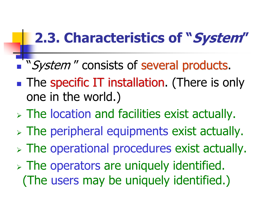### 2.3. Characteristics of "System"

- "System" consists of several products.
- **Service Service The specific IT installation.** (There is only one in the world.)
- The location and facilities exist actually.
- The peripheral equipments exist actually.
- The operational procedures exist actually.
- The operators are uniquely identified. (The users may be uniquely identified.)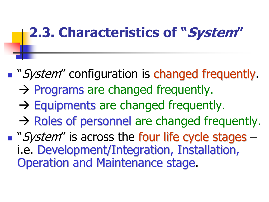### 2.3. Characteristics of "System"

- **The "System"** configuration is changed frequently.
	- $\rightarrow$  Programs are changed frequently.
	- $\rightarrow$  Equipments are changed frequently.
	- $\rightarrow$  Roles of personnel are changed frequently.

**The "System"** is across the four life cycle stages –i.e. Development/Integration, Installation, Operation and Maintenance stage.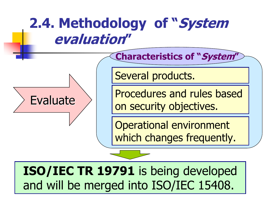

ISO/IEC TR 19791 is being developed and will be merged into ISO/IEC 15408.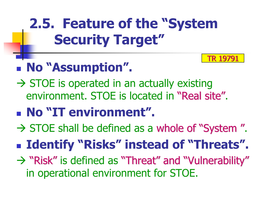# 2.5. Feature of the "System Security Target"

TR 19791

#### No "Assumption".

- $\rightarrow$  STOE is operated in an actually existing environment. STOE is located in "Real site".
- No "IT environment".
- $\rightarrow$  STOE shall be defined as a whole of "System".
- **Example 1 Identify "Risks" instead of "Threats".**
- $\rightarrow$  "Risk " is defined as "Threat" and "Vulnerability" in operational environment for STOE.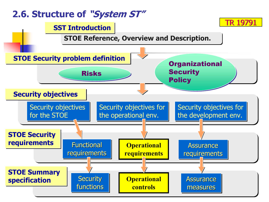#### 2.6. Structure of "System ST"

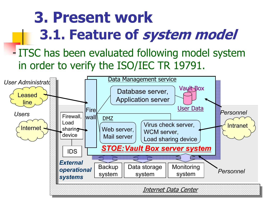# 3. Present work 3.1. Feature of system model

#### - ITSC has been evaluated following model system in order to verify the ISO/IEC TR 19791.

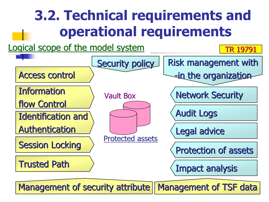## 3.2. Technical requirements and operational requirements





Management of security attribute | Management of TSF data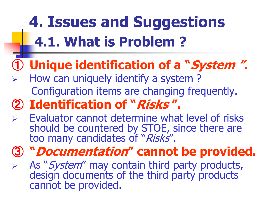# 4. Issues and Suggestions 4.1. What is Problem ?

#### ① Unique identification of a "System ".

 $\blacktriangleright$  How can uniquely identify a system ? Configuration items are changing frequently.

#### ② Identification of "Risks ".

- $\blacktriangleright$  Evaluator cannot determine what level of risks should be countered by STOE, since there are too many candidates of "Risks".
- ③ "Documentation" cannot be provided.
- $\blacktriangleright$ As "*System"* may contain third party products, design documents of the third party products cannot be provided.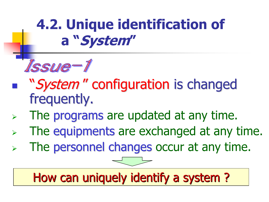

- "System" configuration is changed frequently.
- $\blacktriangleright$ The programs are updated at any time.
- $\blacktriangleright$ The equipments are exchanged at any time.
- $\blacktriangleright$ The personnel changes occur at any time.

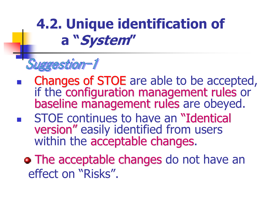

- -Changes of STOE are able to be accepted, if the configuration management rules or baseline management rules are obeyed.
- -**STOE continues to have an "Identical** version " easily identified from users within the acceptable changes.
	- **The acceptable changes do not have an** effect on "Risks".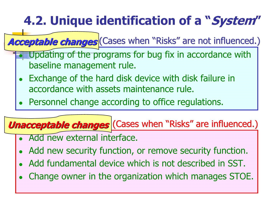Acceptable changes (Cases when "Risks" are not influenced.)

- $\bullet$  Updating of the programs for bug fix in accordance with baseline management rule.
- 0 Exchange of the hard disk device with disk failure in accordance with assets maintenance rule.
- 0 Personnel change according to office regulations.

#### **Unacceptable changes** (Cases when "Risks" are influenced.)

- O Add new external interface.
- Add new security function, or remove security function.
- $\bullet$ Add fundamental device which is not described in SST.
- $\bullet$ Change owner in the organization which manages STOE.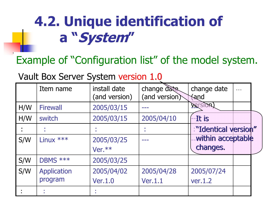Example of "Configuration list" of the model system.

Vault Box Server System version 1.0

|     | Item name       | install date<br>(and version) | change date<br>(and version) | change date<br>$\dddot{\phantom{0}}\cdot\cdot\cdot$<br><b><i><u>fand</u></i></b> |
|-----|-----------------|-------------------------------|------------------------------|----------------------------------------------------------------------------------|
| H/W | <b>Firewall</b> | 2005/03/15                    |                              | <b>Version</b>                                                                   |
| H/W | switch          | 2005/03/15                    | 2005/04/10                   | --It is                                                                          |
|     |                 |                               |                              | "Identical version"                                                              |
| S/W | Linux ***       | 2005/03/25                    |                              | within acceptable                                                                |
|     |                 | Ver.**                        |                              | changes.                                                                         |
| S/W | DBMS ***        | 2005/03/25                    |                              |                                                                                  |
| S/W | Application     | 2005/04/02                    | 2005/04/28                   | 2005/07/24                                                                       |
|     | program         | <b>Ver.1.0</b>                | <b>Ver.1.1</b>               | ver.1.2                                                                          |
|     | ×               |                               |                              |                                                                                  |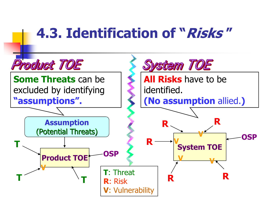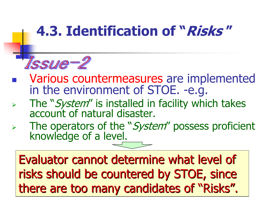

- $\mathcal{L}_{\mathcal{A}}$ Various countermeasures are implemented<br>in the environment of STOE. -e.g.
- $\blacktriangleright$ The "*System*" is installed in facility which takes account of natural disaster.
- $\blacktriangleright$ The operators of the "*System*" possess proficient knowledge of a level.

Evaluator cannot determine what level of Evaluator cannot determine what level of risks should be countered by STOE, since there are too many candidates of "Risks".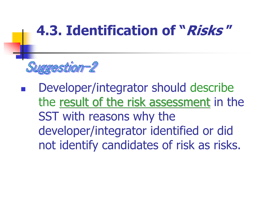

 Developer/integrator should describe the result of the risk assessment in the SST with reasons why the developer/integrator identified or did not identify candidates of risk as risks.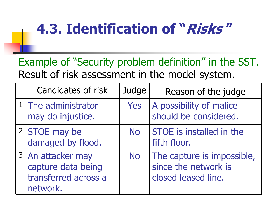Example of "Security problem definition" in the SST. Result of risk assessment in the model system.

| Candidates of risk                                                          | Judge     | Reason of the judge                                                       |
|-----------------------------------------------------------------------------|-----------|---------------------------------------------------------------------------|
| 1 The administrator<br>may do injustice.                                    | Yes       | A possibility of malice<br>should be considered.                          |
| 2 STOE may be<br>damaged by flood.                                          | <b>No</b> | STOE is installed in the<br>fifth floor.                                  |
| 3 An attacker may<br>capture data being<br>transferred across a<br>network. | <b>No</b> | The capture is impossible,<br>since the network is<br>closed leased line. |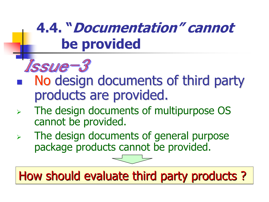

- No design documents of third party products are provided.
- $\blacktriangleright$  The design documents of multipurpose OS cannot be provided.
- $\blacktriangleright$  The design documents of general purpose package products cannot be provided.



How should evaluate third party products ?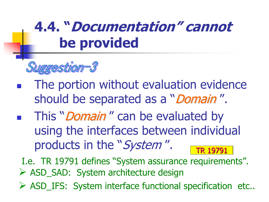

- - The portion without evaluation evidence should be separated as a "*Domain"*.
- -This "*Domain*" can be evaluated by using the interfaces between individual products in the "System". TR 19791

I.e. TR 19791 defines "System assurance requirements". ASD\_SAD: System architecture design

ASD\_IFS: System interface functional specification etc..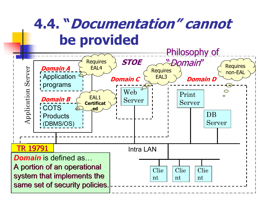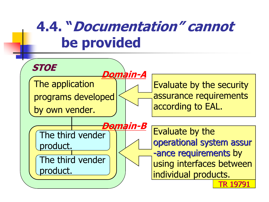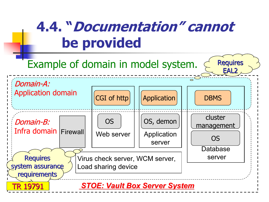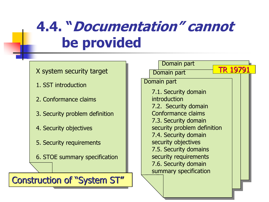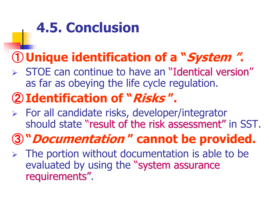# 4.5. Conclusion

#### ① Unique identification of a "System ".

 $>$  STOE can continue to have an "Identical version" as far as obeying the life cycle regulation.

#### ② Identification of "Risks ".

 For all candidate risks, developer/integrator should state "result of the risk assessment" in SST.

### ③ "Documentation " cannot be provided.

 $\triangleright$  The portion without documentation is able to be evaluated by using the "system assurance requirements".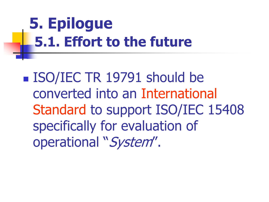# 5. Epilogue 5.1. Effort to the future

■ ISO/IEC TR 19791 should be converted into an International Standard to support ISO/IEC 15408 specifically for evaluation of operational "System".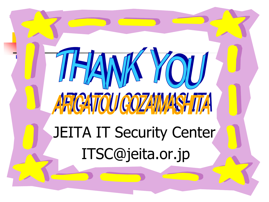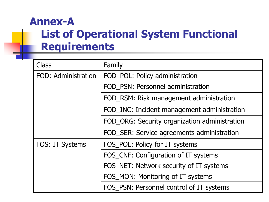#### List of Operational System Functional Requirements Annex-A

| Class                      | Family                                        |  |
|----------------------------|-----------------------------------------------|--|
| <b>FOD: Administration</b> | FOD_POL: Policy administration                |  |
|                            | FOD PSN: Personnel administration             |  |
|                            | FOD_RSM: Risk management administration       |  |
|                            | FOD_INC: Incident management administration   |  |
|                            | FOD ORG: Security organization administration |  |
|                            | FOD SER: Service agreements administration    |  |
| FOS: IT Systems            | FOS_POL: Policy for IT systems                |  |
|                            | FOS_CNF: Configuration of IT systems          |  |
|                            | FOS NET: Network security of IT systems       |  |
|                            | FOS_MON: Monitoring of IT systems             |  |
|                            | FOS_PSN: Personnel control of IT systems      |  |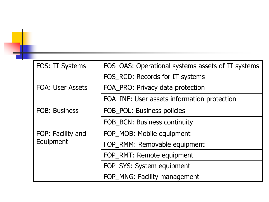| FOS: IT Systems         | FOS_OAS: Operational systems assets of IT systems |  |
|-------------------------|---------------------------------------------------|--|
|                         | FOS_RCD: Records for IT systems                   |  |
| <b>FOA: User Assets</b> | FOA_PRO: Privacy data protection                  |  |
|                         | FOA INF: User assets information protection       |  |
| <b>FOB: Business</b>    | FOB POL: Business policies                        |  |
|                         | <b>FOB BCN: Business continuity</b>               |  |
| FOP: Facility and       | FOP MOB: Mobile equipment                         |  |
| Equipment               | FOP RMM: Removable equipment                      |  |
|                         | FOP RMT: Remote equipment                         |  |
|                         | FOP SYS: System equipment                         |  |
|                         | FOP_MNG: Facility management                      |  |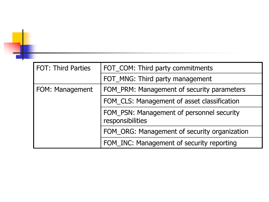| <b>FOT: Third Parties</b> | FOT_COM: Third party commitments                              |  |
|---------------------------|---------------------------------------------------------------|--|
|                           | FOT_MNG: Third party management                               |  |
| FOM: Management           | FOM_PRM: Management of security parameters                    |  |
|                           | FOM CLS: Management of asset classification                   |  |
|                           | FOM_PSN: Management of personnel security<br>responsibilities |  |
|                           | FOM_ORG: Management of security organization                  |  |
|                           | FOM_INC: Management of security reporting                     |  |

۰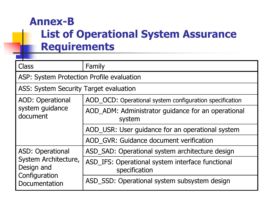#### List of Operational System Assurance Requirements Annex-B

| <b>Class</b>                              | Family                                                            |  |
|-------------------------------------------|-------------------------------------------------------------------|--|
| ASP: System Protection Profile evaluation |                                                                   |  |
| ASS: System Security Target evaluation    |                                                                   |  |
| <b>AOD: Operational</b>                   | AOD_OCD: Operational system configuration specification           |  |
| system guidance<br>document               | AOD_ADM: Administrator guidance for an operational<br>system      |  |
|                                           | AOD_USR: User guidance for an operational system                  |  |
|                                           | AOD_GVR: Guidance document verification                           |  |
| <b>ASD: Operational</b>                   | ASD_SAD: Operational system architecture design                   |  |
| System Architecture,<br>Design and        | ASD_IFS: Operational system interface functional<br>specification |  |
| Configuration<br>Documentation            | ASD_SSD: Operational system subsystem design                      |  |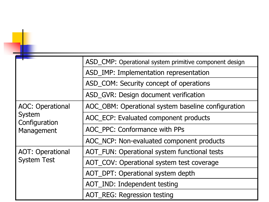|                                | ASD_CMP: Operational system primitive component design |
|--------------------------------|--------------------------------------------------------|
|                                | ASD_IMP: Implementation representation                 |
|                                | ASD_COM: Security concept of operations                |
|                                | ASD_GVR: Design document verification                  |
| <b>AOC: Operational</b>        | AOC_OBM: Operational system baseline configuration     |
| <b>System</b><br>Configuration | AOC_ECP: Evaluated component products                  |
| Management                     | AOC PPC: Conformance with PPs                          |
|                                | AOC_NCP: Non-evaluated component products              |
| <b>AOT: Operational</b>        | AOT_FUN: Operational system functional tests           |
| <b>System Test</b>             | AOT_COV: Operational system test coverage              |
|                                | AOT_DPT: Operational system depth                      |
|                                | AOT IND: Independent testing                           |
|                                | <b>AOT REG: Regression testing</b>                     |